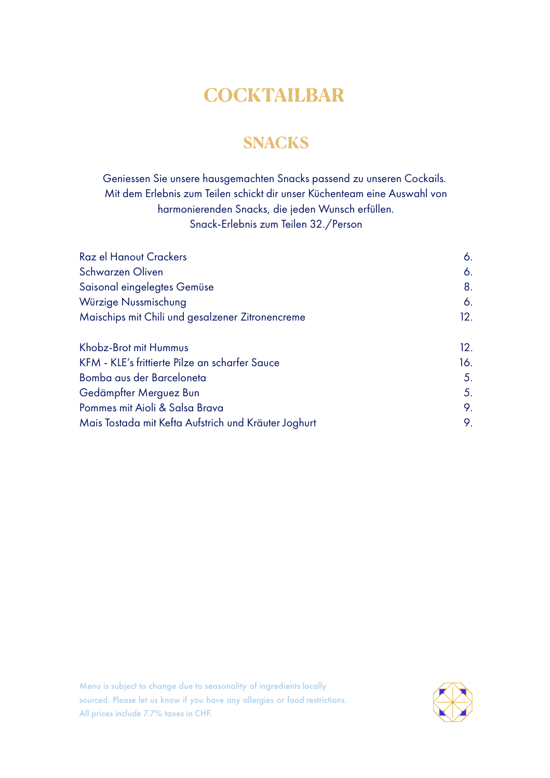## **COCKTAILBAR**

## **SNACKS**

Geniessen Sie unsere hausgemachten Snacks passend zu unseren Cockails. Mit dem Erlebnis zum Teilen schickt dir unser Küchenteam eine Auswahl von harmonierenden Snacks, die jeden Wunsch erfüllen. Snack-Erlebnis zum Teilen 32./Person

| <b>Raz el Hanout Crackers</b>                        | 6.  |
|------------------------------------------------------|-----|
| Schwarzen Oliven                                     | 6.  |
| Saisonal eingelegtes Gemüse                          | 8.  |
| Würzige Nussmischung                                 | 6.  |
| Maischips mit Chili und gesalzener Zitronencreme     | 12. |
| Khobz-Brot mit Hummus                                | 12. |
| KFM - KLE's frittierte Pilze an scharfer Sauce       | 16. |
| Bomba aus der Barceloneta                            | 5.  |
| Gedämpfter Merguez Bun                               | 5.  |
| Pommes mit Aioli & Salsa Brava                       | 9.  |
| Mais Tostada mit Kefta Aufstrich und Kräuter Joghurt | 9.  |

Menu is subject to change due to seasonality of ingredients locally sourced. Please let us know if you have any allergies or food restrictions. All prices include 7.7% taxes in CHF.